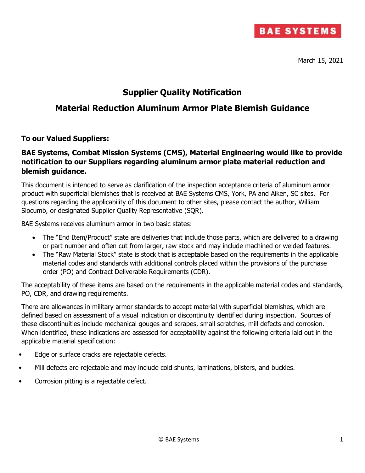

March 15, 2021

## **Supplier Quality Notification**

## **Material Reduction Aluminum Armor Plate Blemish Guidance**

## **To our Valued Suppliers:**

## **BAE Systems, Combat Mission Systems (CMS), Material Engineering would like to provide notification to our Suppliers regarding aluminum armor plate material reduction and blemish guidance.**

This document is intended to serve as clarification of the inspection acceptance criteria of aluminum armor product with superficial blemishes that is received at BAE Systems CMS, York, PA and Aiken, SC sites. For questions regarding the applicability of this document to other sites, please contact the author, William Slocumb, or designated Supplier Quality Representative (SQR).

BAE Systems receives aluminum armor in two basic states:

- The "End Item/Product" state are deliveries that include those parts, which are delivered to a drawing or part number and often cut from larger, raw stock and may include machined or welded features.
- The "Raw Material Stock" state is stock that is acceptable based on the requirements in the applicable material codes and standards with additional controls placed within the provisions of the purchase order (PO) and Contract Deliverable Requirements (CDR).

The acceptability of these items are based on the requirements in the applicable material codes and standards, PO, CDR, and drawing requirements.

There are allowances in military armor standards to accept material with superficial blemishes, which are defined based on assessment of a visual indication or discontinuity identified during inspection. Sources of these discontinuities include mechanical gouges and scrapes, small scratches, mill defects and corrosion. When identified, these indications are assessed for acceptability against the following criteria laid out in the applicable material specification:

- Edge or surface cracks are rejectable defects.
- Mill defects are rejectable and may include cold shunts, laminations, blisters, and buckles.
- Corrosion pitting is a rejectable defect.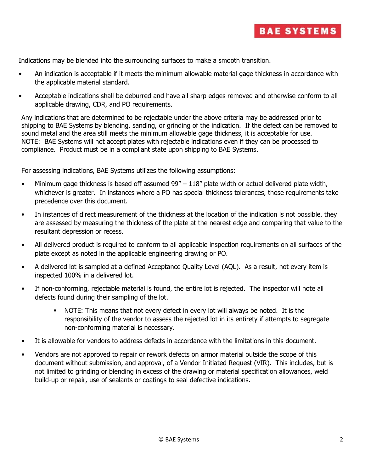

Indications may be blended into the surrounding surfaces to make a smooth transition.

- An indication is acceptable if it meets the minimum allowable material gage thickness in accordance with the applicable material standard.
- Acceptable indications shall be deburred and have all sharp edges removed and otherwise conform to all applicable drawing, CDR, and PO requirements.

Any indications that are determined to be rejectable under the above criteria may be addressed prior to shipping to BAE Systems by blending, sanding, or grinding of the indication. If the defect can be removed to sound metal and the area still meets the minimum allowable gage thickness, it is acceptable for use. NOTE: BAE Systems will not accept plates with rejectable indications even if they can be processed to compliance. Product must be in a compliant state upon shipping to BAE Systems.

For assessing indications, BAE Systems utilizes the following assumptions:

- Minimum gage thickness is based off assumed 99" 118" plate width or actual delivered plate width, whichever is greater. In instances where a PO has special thickness tolerances, those requirements take precedence over this document.
- In instances of direct measurement of the thickness at the location of the indication is not possible, they are assessed by measuring the thickness of the plate at the nearest edge and comparing that value to the resultant depression or recess.
- All delivered product is required to conform to all applicable inspection requirements on all surfaces of the plate except as noted in the applicable engineering drawing or PO.
- A delivered lot is sampled at a defined Acceptance Quality Level (AQL). As a result, not every item is inspected 100% in a delivered lot.
- If non-conforming, rejectable material is found, the entire lot is rejected. The inspector will note all defects found during their sampling of the lot.
	- NOTE: This means that not every defect in every lot will always be noted. It is the responsibility of the vendor to assess the rejected lot in its entirety if attempts to segregate non-conforming material is necessary.
- It is allowable for vendors to address defects in accordance with the limitations in this document.
- Vendors are not approved to repair or rework defects on armor material outside the scope of this document without submission, and approval, of a Vendor Initiated Request (VIR). This includes, but is not limited to grinding or blending in excess of the drawing or material specification allowances, weld build-up or repair, use of sealants or coatings to seal defective indications.